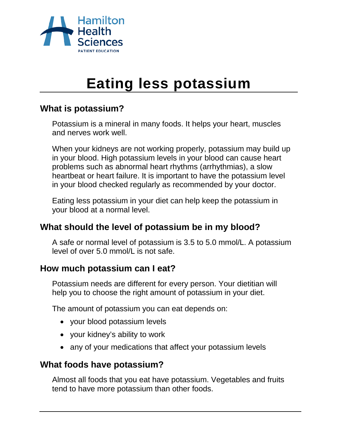

# **Eating less potassium**

# **What is potassium?**

Potassium is a mineral in many foods. It helps your heart, muscles and nerves work well.

When your kidneys are not working properly, potassium may build up in your blood. High potassium levels in your blood can cause heart problems such as abnormal heart rhythms (arrhythmias), a slow heartbeat or heart failure. It is important to have the potassium level in your blood checked regularly as recommended by your doctor.

Eating less potassium in your diet can help keep the potassium in your blood at a normal level.

# **What should the level of potassium be in my blood?**

A safe or normal level of potassium is 3.5 to 5.0 mmol/L. A potassium level of over 5.0 mmol/L is not safe.

# **How much potassium can I eat?**

Potassium needs are different for every person. Your dietitian will help you to choose the right amount of potassium in your diet.

The amount of potassium you can eat depends on:

- your blood potassium levels
- your kidney's ability to work
- any of your medications that affect your potassium levels

# **What foods have potassium?**

Almost all foods that you eat have potassium. Vegetables and fruits tend to have more potassium than other foods.